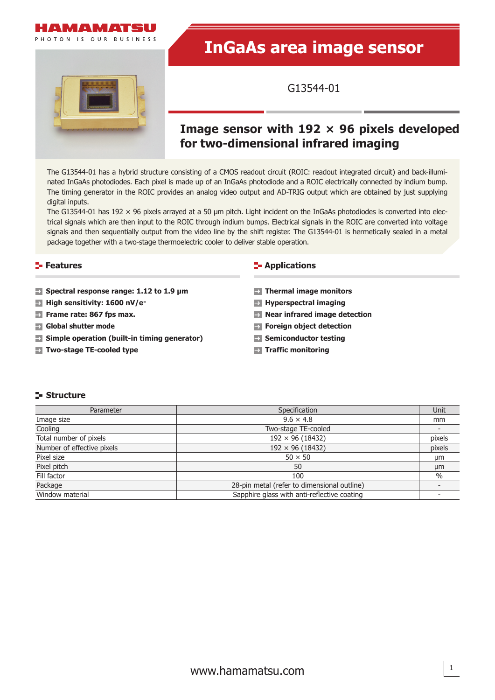

PHOTON IS OUR BUSINESS

# **InGaAs area image sensor**



G13544-01

# **Image sensor with 192 × 96 pixels developed for two-dimensional infrared imaging**

The G13544-01 has a hybrid structure consisting of a CMOS readout circuit (ROIC: readout integrated circuit) and back-illuminated InGaAs photodiodes. Each pixel is made up of an InGaAs photodiode and a ROIC electrically connected by indium bump. The timing generator in the ROIC provides an analog video output and AD-TRIG output which are obtained by just supplying digital inputs.

The G13544-01 has 192  $\times$  96 pixels arrayed at a 50 µm pitch. Light incident on the InGaAs photodiodes is converted into electrical signals which are then input to the ROIC through indium bumps. Electrical signals in the ROIC are converted into voltage signals and then sequentially output from the video line by the shift register. The G13544-01 is hermetically sealed in a metal package together with a two-stage thermoelectric cooler to deliver stable operation.

#### **Features**

- **Spectral response range: 1.12 to 1.9 μm**
- **High sensitivity: 1600 nV/e-**
- **Frame rate: 867 fps max.**
- **Global shutter mode**
- **Simple operation (built-in timing generator)**
- **Two-stage TE-cooled type**

#### **E** Applications

- **Thermal image monitors**
- **Hyperspectral imaging**
- **Near infrared image detection**
- **Foreign object detection**
- **Semiconductor testing**
- **Traffic monitoring**

#### **Structure**

| Parameter                  | Specification                               | Unit   |
|----------------------------|---------------------------------------------|--------|
| Image size                 | $9.6 \times 4.8$                            | mm     |
| Cooling                    | Two-stage TE-cooled                         |        |
| Total number of pixels     | $192 \times 96 (18432)$                     | pixels |
| Number of effective pixels | $192 \times 96 (18432)$                     | pixels |
| Pixel size                 | $50 \times 50$                              | µm     |
| Pixel pitch                | 50                                          | μm     |
| Fill factor                | 100                                         | $\%$   |
| Package                    | 28-pin metal (refer to dimensional outline) |        |
| Window material            | Sapphire glass with anti-reflective coating |        |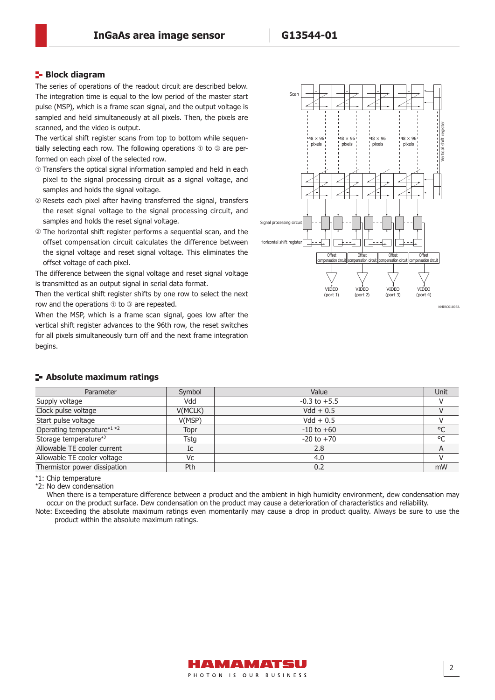#### **Block diagram**

The series of operations of the readout circuit are described below. The integration time is equal to the low period of the master start pulse (MSP), which is a frame scan signal, and the output voltage is sampled and held simultaneously at all pixels. Then, the pixels are scanned, and the video is output.

The vertical shift register scans from top to bottom while sequentially selecting each row. The following operations  $\odot$  to  $\odot$  are performed on each pixel of the selected row.

- Transfers the optical signal information sampled and held in each pixel to the signal processing circuit as a signal voltage, and samples and holds the signal voltage.
- Resets each pixel after having transferred the signal, transfers the reset signal voltage to the signal processing circuit, and samples and holds the reset signal voltage.
- The horizontal shift register performs a sequential scan, and the offset compensation circuit calculates the difference between the signal voltage and reset signal voltage. This eliminates the offset voltage of each pixel.

The difference between the signal voltage and reset signal voltage is transmitted as an output signal in serial data format.

Then the vertical shift register shifts by one row to select the next row and the operations  $\odot$  to  $\odot$  are repeated.

When the MSP, which is a frame scan signal, goes low after the vertical shift register advances to the 96th row, the reset switches for all pixels simultaneously turn off and the next frame integration begins.



#### KMIRC0100EA

| buyu iyi                   |         |                  |        |
|----------------------------|---------|------------------|--------|
| - Absolute maximum ratings |         |                  |        |
| Parameter                  | Symbol  | Value            | Unit   |
| Supply voltage             | Vdd     | $-0.3$ to $+5.5$ | v      |
| Clock pulse voltage        | V(MCLK) | $Vdd + 0.5$      | $\vee$ |
| Start pulse voltage        | V(MSP)  | $Vdd + 0.5$      | v      |

\*1: Chip temperature

\*2: No dew condensation

When there is a temperature difference between a product and the ambient in high humidity environment, dew condensation may occur on the product surface. Dew condensation on the product may cause a deterioration of characteristics and reliability.

Operating temperature\*<sup>1</sup>\*<sup>2</sup> Topr -10 to +60 °C Storage temperature<sup>\*2</sup> and a Tstg and Tstg and Tstg and Tstg and Tstg and Tstg and Tstg and Tstg and Tstg and Tstg and Tstg and Tstg and Tstg and Tstg and Tstg and Tstg and Tstg and Tstg and Tstg and Tstg and Tstg and Tst Allowable TE cooler current Text Cooler Current Text Cooler Current Allowable TE cooler current A Allowable TE cooler voltage  $V_c$   $V_c$   $4.0$ Thermistor power dissipation **Pth** Pth 0.2 mW

Note: Exceeding the absolute maximum ratings even momentarily may cause a drop in product quality. Always be sure to use the product within the absolute maximum ratings.

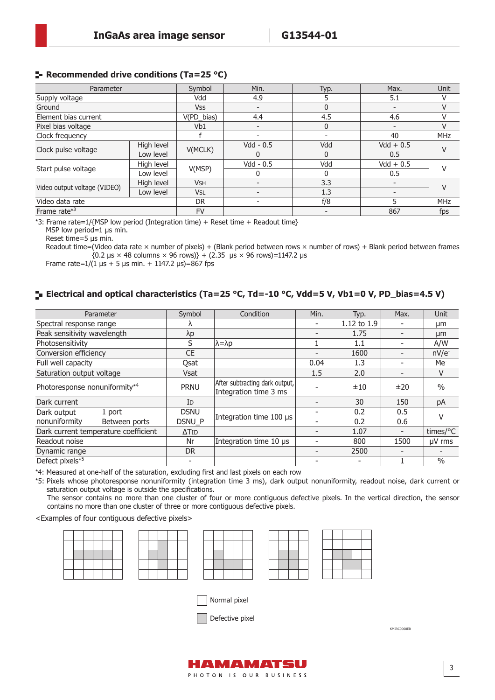#### **Recommended drive conditions (Ta=25 °C)**

| Parameter                    |            | Symbol                | Min.                     | Typ.         | Max.                     | <b>Unit</b> |
|------------------------------|------------|-----------------------|--------------------------|--------------|--------------------------|-------------|
| Supply voltage               |            | Vdd                   | 4.9                      |              | 5.1                      | V           |
| Ground                       |            | Vss                   |                          | $\Omega$     |                          | V           |
| Element bias current         |            | V(PD_bias)            | 4.4                      | 4.5          | 4.6                      | v           |
| Pixel bias voltage           |            | Vb1                   | $\overline{\phantom{a}}$ | $\mathbf{0}$ | $\overline{\phantom{0}}$ | $\vee$      |
| Clock frequency              |            |                       |                          |              | 40                       | <b>MHz</b>  |
|                              | High level | V(MCLK)               | $Vdd - 0.5$              | Vdd          | $Vdd + 0.5$              | V           |
| Clock pulse voltage          | Low level  |                       | 0                        | $\Omega$     | $0.5^{\circ}$            |             |
| Start pulse voltage          | High level | V(MSP)                | $Vdd - 0.5$              | Vdd          | $Vdd + 0.5$              | V           |
|                              | Low level  |                       |                          | <sup>0</sup> | 0.5                      |             |
|                              | High level | <b>V<sub>SH</sub></b> | $\overline{\phantom{0}}$ | 3.3          |                          | V           |
| Video output voltage (VIDEO) | Low level  | <b>VSL</b>            | ۰                        | 1.3          |                          |             |
| Video data rate              |            | <b>DR</b>             | $\overline{\phantom{0}}$ | f/8          |                          | <b>MHz</b>  |
| Frame rate $*3$              |            | <b>FV</b>             |                          |              | 867                      | fps         |

\*3: Frame rate=1/{MSP low period (Integration time) + Reset time + Readout time}

MSP low period=1 µs min.

Reset time=5 µs min.

Readout time=(Video data rate  $\times$  number of pixels) + (Blank period between rows  $\times$  number of rows) + Blank period between frames  ${0.2 \,\text{µs} \times 48 \text{ columns} \times 96 \text{ rows}} + (2.35 \,\text{µs} \times 96 \text{ rows}} = 1147.2 \,\text{µs}$ 

Frame rate= $1/(1 \text{ }\mu\text{s} + 5 \text{ }\mu\text{s} \text{ min.} + 1147.2 \text{ }\mu\text{s}) = 867 \text{ fs}$ 

# **Electrical and optical characteristics (Ta=25 °C, Td=-10 °C, Vdd=5 V, Vb1=0 V, PD\_bias=4.5 V)**

| Parameter                                 |                         | Symbol                   | Condition                                               | Min. | Typ.        | Max.                     | Unit            |
|-------------------------------------------|-------------------------|--------------------------|---------------------------------------------------------|------|-------------|--------------------------|-----------------|
|                                           | Spectral response range |                          |                                                         |      | 1.12 to 1.9 |                          | μm              |
| Peak sensitivity wavelength               |                         | $\lambda p$              |                                                         |      | 1.75        |                          | µm              |
| Photosensitivity                          |                         | S                        | $\lambda = \lambda p$                                   |      | 1.1         |                          | A/W             |
| Conversion efficiency                     |                         | <b>CE</b>                |                                                         |      | 1600        |                          | $nV/e^-$        |
| Full well capacity                        |                         | Qsat                     |                                                         | 0.04 | 1.3         |                          | Me <sup>-</sup> |
| Saturation output voltage                 |                         | <b>Vsat</b>              |                                                         | 1.5  | 2.0         |                          | V               |
| Photoresponse nonuniformity* <sup>4</sup> |                         | <b>PRNU</b>              | After subtracting dark output,<br>Integration time 3 ms |      | ±10         | ±20                      | $\frac{0}{0}$   |
| Dark current                              |                         | ID                       |                                                         |      | 30          | 150                      | pA              |
| Dark output                               | 1 port                  | <b>DSNU</b>              |                                                         |      | 0.2         | 0.5                      |                 |
| nonuniformity                             | Between ports           | DSNU P                   | Integration time 100 µs                                 |      | 0.2         | 0.6                      |                 |
| Dark current temperature coefficient      |                         | $\Delta$ Tid             |                                                         |      | 1.07        | $\overline{\phantom{a}}$ | times/°C        |
| Readout noise                             |                         | Nr                       | Integration time 10 µs                                  |      | 800         | 1500                     | $\mu$ V rms     |
| Dynamic range                             |                         | D <sub>R</sub>           |                                                         |      | 2500        |                          |                 |
| Defect pixels* <sup>5</sup>               |                         | $\overline{\phantom{a}}$ |                                                         |      |             |                          | $\frac{0}{0}$   |

\*4: Measured at one-half of the saturation, excluding first and last pixels on each row

\*5: Pixels whose photoresponse nonuniformity (integration time 3 ms), dark output nonuniformity, readout noise, dark current or saturation output voltage is outside the specifications.

The sensor contains no more than one cluster of four or more contiguous defective pixels. In the vertical direction, the sensor contains no more than one cluster of three or more contiguous defective pixels.

<Examples of four contiguous defective pixels>



KMIRC0060EB



Normal pixel

Defective pixel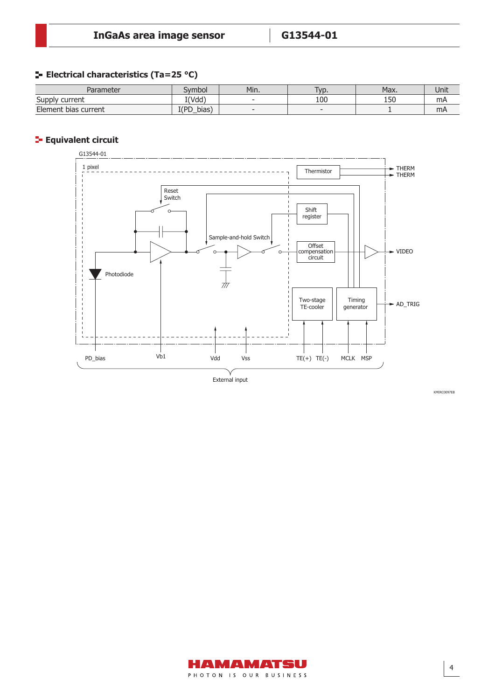#### **E** Electrical characteristics (Ta=25 °C)

| Parameter            | ivmbol                         | Min.     | VD.                      | Max. | Unit |
|----------------------|--------------------------------|----------|--------------------------|------|------|
| Supply current       | I(Vdd)                         | -        | 100                      | 150  | mA   |
| Element bias current | T(PD<br>bias <sup>'</sup><br>◡ | $\equiv$ | $\overline{\phantom{a}}$ |      | mA   |

#### **Example 2** Equivalent circuit



KMIRC0097EB

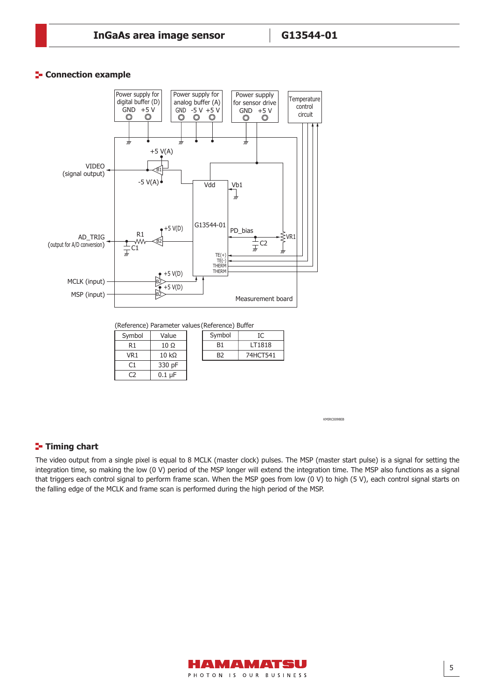#### **E-** Connection example

Connection example



KMIRC0098EB

#### **Timing chart**

C2

 $0.1$  µF

The video output from a single pixel is equal to 8 MCLK (master clock) pulses. The MSP (master start pulse) is a signal for setting the integration time, so making the low (0 V) period of the MSP longer will extend the integration time. The MSP also functions as a signal that triggers each control signal to perform frame scan. When the MSP goes from low (0 V) to high (5 V), each control signal starts on the falling edge of the MCLK and frame scan is performed during the high period of the MSP.

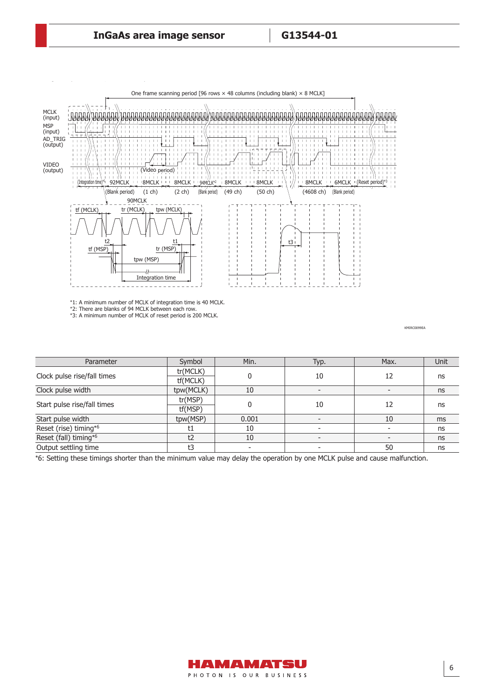

\*1: A minimum number of MCLK of integration time is 40 MCLK. \*2: There are blanks of 94 MCLK between each row. \*3: A minimum number of MCLK of reset period is 200 MCLK.

KMIRC0099EA

| Parameter                   | Symbol    | Min.  | Typ. | Max. | Unit |
|-----------------------------|-----------|-------|------|------|------|
| Clock pulse rise/fall times | tr(MCLK)  |       | 10   | 12   |      |
|                             | tf(MCLK)  |       |      |      | ns   |
| Clock pulse width           | tpw(MCLK) | 10    |      |      | ns   |
| Start pulse rise/fall times | tr(MSP)   |       | 10   | 12   | ns   |
|                             | tf(MSP)   |       |      |      |      |
| Start pulse width           | tpw(MSP)  | 0.001 |      | 10   | ms   |
| Reset (rise) timing*6       |           | 10    |      |      | ns   |
| Reset (fall) timing*6       | t2        | 10    |      |      | ns   |
| Output settling time        | t3        |       |      | 50   | ns   |

\*6: Setting these timings shorter than the minimum value may delay the operation by one MCLK pulse and cause malfunction.

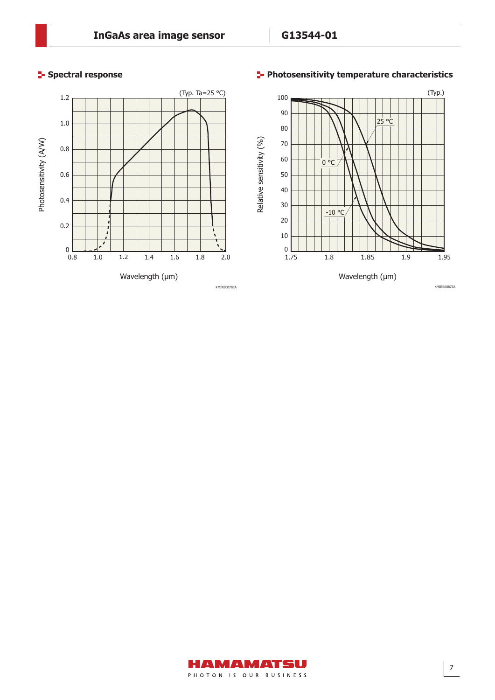# **Spectral response**

# **Photosensitivity temperature characteristics**



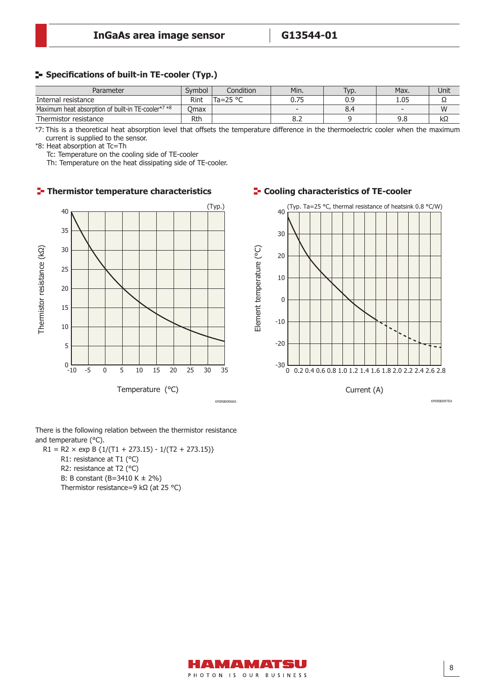#### *ȜηΑΗ͈أഽඅ* (S12460-0606S) **Specifications of built-in TE-cooler (Typ.)**

| Parameter                                          | Symbol | Condition         | Min.                     | Typ. | Max. | Unit |
|----------------------------------------------------|--------|-------------------|--------------------------|------|------|------|
| Internal resistance                                | Rint   | Ta=25 $\degree$ C | 0.75                     | 0.9  | 1.05 | ∸    |
| Maximum heat absorption of built-in TE-cooler*7 *8 | Omax   |                   | $\overline{\phantom{a}}$ | 8.4  |      | W    |
| Thermistor resistance                              | Rtŀ    |                   | o.z                      |      | 9.8  | kΩ   |

\*7: This is a theoretical heat absorption level that offsets the temperature difference in the thermoelectric cooler when the maximum current is supplied to the sensor.

\*8: Heat absorption at Tc=Th

Tc: Temperature on the cooling side of TE-cooler

Th: Temperature on the heat dissipating side of TE-cooler.

#### **Thermistor temperature characteristics TE-cooling characteristics of TE-cooler**



There is the following relation between the thermistor resistance and temperature (°C).

 $R1 = R2 \times exp B \{1/(T1 + 273.15) - 1/(T2 + 273.15)\}$ R1: resistance at T1 (°C) R2: resistance at T2 (°C) B: B constant (B=3410 K ± 2%) Thermistor resistance=9 kΩ (at 25 °C)



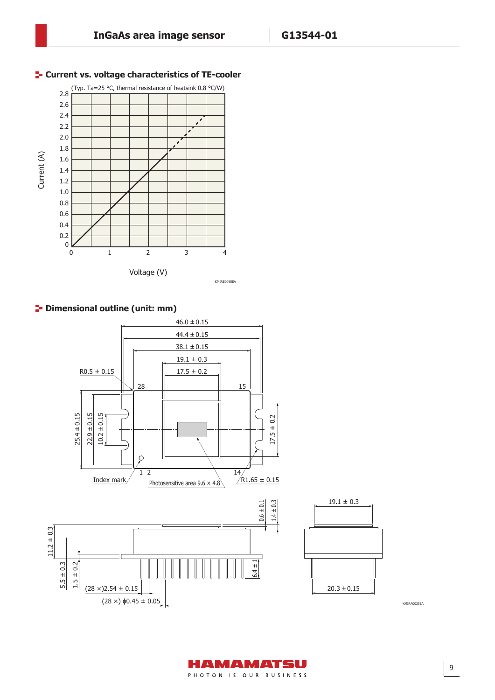

#### **F-** Current vs. voltage characteristics of TE-cooler

# **<sup>1</sup>** Dimensional outline (unit: mm)



KMIRA0035EA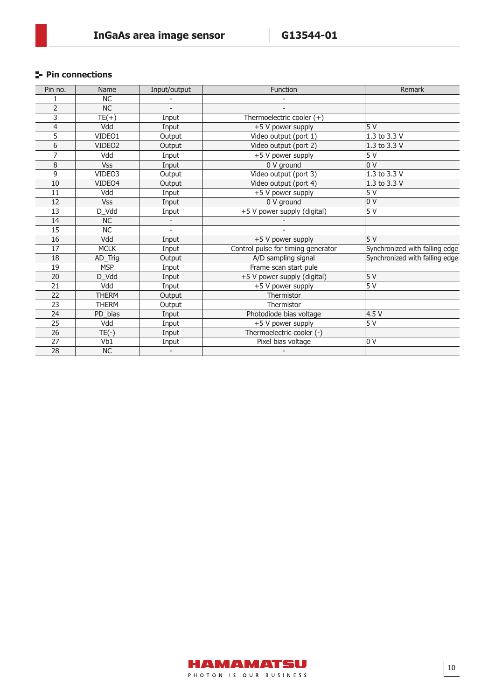# **Pin connections**

| Pin no.         | Name               | Input/output | Function                           | Remark                         |
|-----------------|--------------------|--------------|------------------------------------|--------------------------------|
|                 | <b>NC</b>          |              |                                    |                                |
| $\overline{2}$  | NC                 |              |                                    |                                |
| 3               | $TE(+)$            | Input        | Thermoelectric cooler $(+)$        |                                |
| 4               | Vdd                | Input        | +5 V power supply                  | 5V                             |
| 5               | VIDEO1             | Output       | Video output (port 1)              | 1.3 to 3.3 V                   |
| 6               | VIDEO <sub>2</sub> | Output       | Video output (port 2)              | 1.3 to 3.3 V                   |
| 7               | Vdd                | Input        | +5 V power supply                  | 5V                             |
| 8               | <b>Vss</b>         | Input        | 0 V ground                         | 0 V                            |
| 9               | VIDEO3             | Output       | Video output (port 3)              | 1.3 to 3.3 $V$                 |
| 10              | VIDEO4             | Output       | Video output (port 4)              | 1.3 to 3.3 V                   |
| 11              | Vdd                | Input        | $\overline{+5}$ V power supply     | 5V                             |
| 12              | <b>Vss</b>         | Input        | 0 V ground                         | 0 <sup>0</sup>                 |
| 13              | D_Vdd              | Input        | +5 V power supply (digital)        | 5V                             |
| 14              | <b>NC</b>          |              |                                    |                                |
| 15              | NC                 |              |                                    |                                |
| 16              | Vdd                | Input        | +5 V power supply                  | 5V                             |
| 17              | <b>MCLK</b>        | Input        | Control pulse for timing generator | Synchronized with falling edge |
| 18              | AD_Trig            | Output       | A/D sampling signal                | Synchronized with falling edge |
| 19              | <b>MSP</b>         | Input        | Frame scan start pule              |                                |
| 20              | D_Vdd              | Input        | +5 V power supply (digital)        | 5V                             |
| 21              | Vdd                | Input        | +5 V power supply                  | 5 V                            |
| 22              | <b>THERM</b>       | Output       | Thermistor                         |                                |
| 23              | <b>THERM</b>       | Output       | Thermistor                         |                                |
| 24              | PD_bias            | Input        | Photodiode bias voltage            | 4.5 V                          |
| $\overline{25}$ | Vdd                | Input        | +5 V power supply                  | 5V                             |
| 26              | $TE(-)$            | Input        | Thermoelectric cooler (-)          |                                |
| $\overline{27}$ | Vb1                | Input        | Pixel bias voltage                 | 0 <sup>0</sup>                 |
| 28              | NC                 |              |                                    |                                |